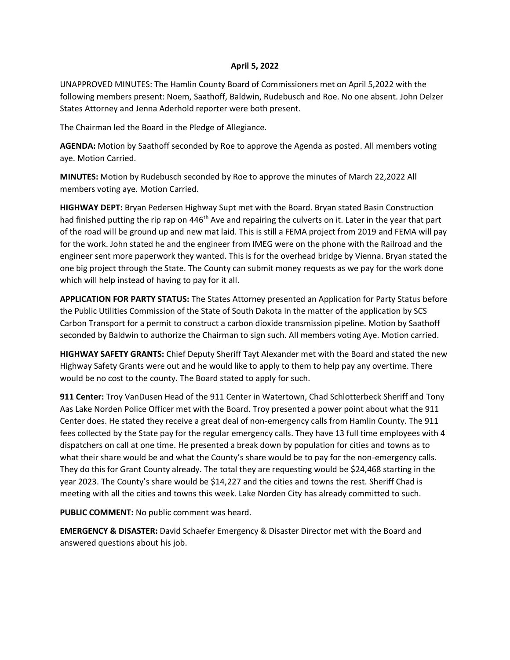## **April 5, 2022**

UNAPPROVED MINUTES: The Hamlin County Board of Commissioners met on April 5,2022 with the following members present: Noem, Saathoff, Baldwin, Rudebusch and Roe. No one absent. John Delzer States Attorney and Jenna Aderhold reporter were both present.

The Chairman led the Board in the Pledge of Allegiance.

**AGENDA:** Motion by Saathoff seconded by Roe to approve the Agenda as posted. All members voting aye. Motion Carried.

**MINUTES:** Motion by Rudebusch seconded by Roe to approve the minutes of March 22,2022 All members voting aye. Motion Carried.

**HIGHWAY DEPT:** Bryan Pedersen Highway Supt met with the Board. Bryan stated Basin Construction had finished putting the rip rap on 446<sup>th</sup> Ave and repairing the culverts on it. Later in the year that part of the road will be ground up and new mat laid. This is still a FEMA project from 2019 and FEMA will pay for the work. John stated he and the engineer from IMEG were on the phone with the Railroad and the engineer sent more paperwork they wanted. This is for the overhead bridge by Vienna. Bryan stated the one big project through the State. The County can submit money requests as we pay for the work done which will help instead of having to pay for it all.

**APPLICATION FOR PARTY STATUS:** The States Attorney presented an Application for Party Status before the Public Utilities Commission of the State of South Dakota in the matter of the application by SCS Carbon Transport for a permit to construct a carbon dioxide transmission pipeline. Motion by Saathoff seconded by Baldwin to authorize the Chairman to sign such. All members voting Aye. Motion carried.

**HIGHWAY SAFETY GRANTS:** Chief Deputy Sheriff Tayt Alexander met with the Board and stated the new Highway Safety Grants were out and he would like to apply to them to help pay any overtime. There would be no cost to the county. The Board stated to apply for such.

**911 Center:** Troy VanDusen Head of the 911 Center in Watertown, Chad Schlotterbeck Sheriff and Tony Aas Lake Norden Police Officer met with the Board. Troy presented a power point about what the 911 Center does. He stated they receive a great deal of non-emergency calls from Hamlin County. The 911 fees collected by the State pay for the regular emergency calls. They have 13 full time employees with 4 dispatchers on call at one time. He presented a break down by population for cities and towns as to what their share would be and what the County's share would be to pay for the non-emergency calls. They do this for Grant County already. The total they are requesting would be \$24,468 starting in the year 2023. The County's share would be \$14,227 and the cities and towns the rest. Sheriff Chad is meeting with all the cities and towns this week. Lake Norden City has already committed to such.

**PUBLIC COMMENT:** No public comment was heard.

**EMERGENCY & DISASTER:** David Schaefer Emergency & Disaster Director met with the Board and answered questions about his job.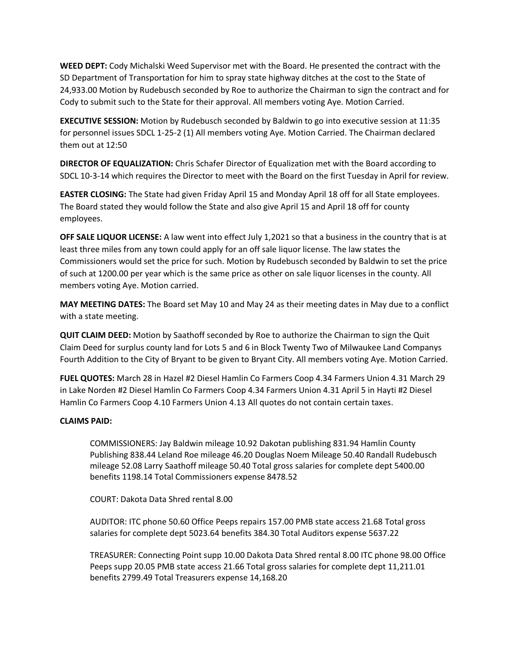**WEED DEPT:** Cody Michalski Weed Supervisor met with the Board. He presented the contract with the SD Department of Transportation for him to spray state highway ditches at the cost to the State of 24,933.00 Motion by Rudebusch seconded by Roe to authorize the Chairman to sign the contract and for Cody to submit such to the State for their approval. All members voting Aye. Motion Carried.

**EXECUTIVE SESSION:** Motion by Rudebusch seconded by Baldwin to go into executive session at 11:35 for personnel issues SDCL 1-25-2 (1) All members voting Aye. Motion Carried. The Chairman declared them out at 12:50

**DIRECTOR OF EQUALIZATION:** Chris Schafer Director of Equalization met with the Board according to SDCL 10-3-14 which requires the Director to meet with the Board on the first Tuesday in April for review.

**EASTER CLOSING:** The State had given Friday April 15 and Monday April 18 off for all State employees. The Board stated they would follow the State and also give April 15 and April 18 off for county employees.

**OFF SALE LIQUOR LICENSE:** A law went into effect July 1,2021 so that a business in the country that is at least three miles from any town could apply for an off sale liquor license. The law states the Commissioners would set the price for such. Motion by Rudebusch seconded by Baldwin to set the price of such at 1200.00 per year which is the same price as other on sale liquor licenses in the county. All members voting Aye. Motion carried.

**MAY MEETING DATES:** The Board set May 10 and May 24 as their meeting dates in May due to a conflict with a state meeting.

**QUIT CLAIM DEED:** Motion by Saathoff seconded by Roe to authorize the Chairman to sign the Quit Claim Deed for surplus county land for Lots 5 and 6 in Block Twenty Two of Milwaukee Land Companys Fourth Addition to the City of Bryant to be given to Bryant City. All members voting Aye. Motion Carried.

**FUEL QUOTES:** March 28 in Hazel #2 Diesel Hamlin Co Farmers Coop 4.34 Farmers Union 4.31 March 29 in Lake Norden #2 Diesel Hamlin Co Farmers Coop 4.34 Farmers Union 4.31 April 5 in Hayti #2 Diesel Hamlin Co Farmers Coop 4.10 Farmers Union 4.13 All quotes do not contain certain taxes.

## **CLAIMS PAID:**

COMMISSIONERS: Jay Baldwin mileage 10.92 Dakotan publishing 831.94 Hamlin County Publishing 838.44 Leland Roe mileage 46.20 Douglas Noem Mileage 50.40 Randall Rudebusch mileage 52.08 Larry Saathoff mileage 50.40 Total gross salaries for complete dept 5400.00 benefits 1198.14 Total Commissioners expense 8478.52

COURT: Dakota Data Shred rental 8.00

AUDITOR: ITC phone 50.60 Office Peeps repairs 157.00 PMB state access 21.68 Total gross salaries for complete dept 5023.64 benefits 384.30 Total Auditors expense 5637.22

TREASURER: Connecting Point supp 10.00 Dakota Data Shred rental 8.00 ITC phone 98.00 Office Peeps supp 20.05 PMB state access 21.66 Total gross salaries for complete dept 11,211.01 benefits 2799.49 Total Treasurers expense 14,168.20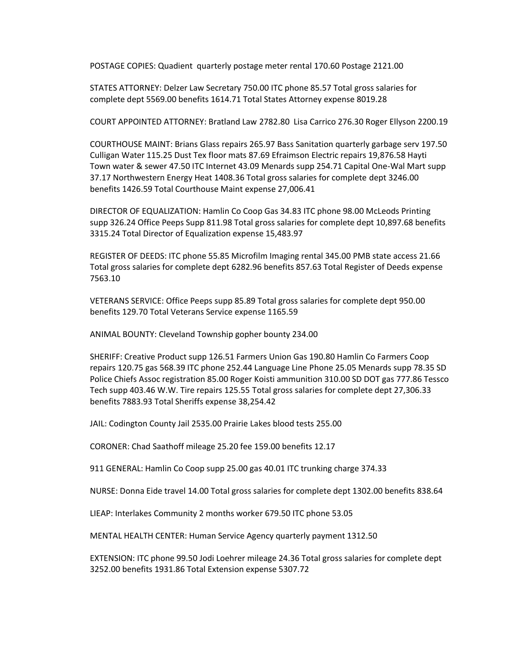POSTAGE COPIES: Quadient quarterly postage meter rental 170.60 Postage 2121.00

STATES ATTORNEY: Delzer Law Secretary 750.00 ITC phone 85.57 Total gross salaries for complete dept 5569.00 benefits 1614.71 Total States Attorney expense 8019.28

COURT APPOINTED ATTORNEY: Bratland Law 2782.80 Lisa Carrico 276.30 Roger Ellyson 2200.19

COURTHOUSE MAINT: Brians Glass repairs 265.97 Bass Sanitation quarterly garbage serv 197.50 Culligan Water 115.25 Dust Tex floor mats 87.69 Efraimson Electric repairs 19,876.58 Hayti Town water & sewer 47.50 ITC Internet 43.09 Menards supp 254.71 Capital One-Wal Mart supp 37.17 Northwestern Energy Heat 1408.36 Total gross salaries for complete dept 3246.00 benefits 1426.59 Total Courthouse Maint expense 27,006.41

DIRECTOR OF EQUALIZATION: Hamlin Co Coop Gas 34.83 ITC phone 98.00 McLeods Printing supp 326.24 Office Peeps Supp 811.98 Total gross salaries for complete dept 10,897.68 benefits 3315.24 Total Director of Equalization expense 15,483.97

REGISTER OF DEEDS: ITC phone 55.85 Microfilm Imaging rental 345.00 PMB state access 21.66 Total gross salaries for complete dept 6282.96 benefits 857.63 Total Register of Deeds expense 7563.10

VETERANS SERVICE: Office Peeps supp 85.89 Total gross salaries for complete dept 950.00 benefits 129.70 Total Veterans Service expense 1165.59

ANIMAL BOUNTY: Cleveland Township gopher bounty 234.00

SHERIFF: Creative Product supp 126.51 Farmers Union Gas 190.80 Hamlin Co Farmers Coop repairs 120.75 gas 568.39 ITC phone 252.44 Language Line Phone 25.05 Menards supp 78.35 SD Police Chiefs Assoc registration 85.00 Roger Koisti ammunition 310.00 SD DOT gas 777.86 Tessco Tech supp 403.46 W.W. Tire repairs 125.55 Total gross salaries for complete dept 27,306.33 benefits 7883.93 Total Sheriffs expense 38,254.42

JAIL: Codington County Jail 2535.00 Prairie Lakes blood tests 255.00

CORONER: Chad Saathoff mileage 25.20 fee 159.00 benefits 12.17

911 GENERAL: Hamlin Co Coop supp 25.00 gas 40.01 ITC trunking charge 374.33

NURSE: Donna Eide travel 14.00 Total gross salaries for complete dept 1302.00 benefits 838.64

LIEAP: Interlakes Community 2 months worker 679.50 ITC phone 53.05

MENTAL HEALTH CENTER: Human Service Agency quarterly payment 1312.50

EXTENSION: ITC phone 99.50 Jodi Loehrer mileage 24.36 Total gross salaries for complete dept 3252.00 benefits 1931.86 Total Extension expense 5307.72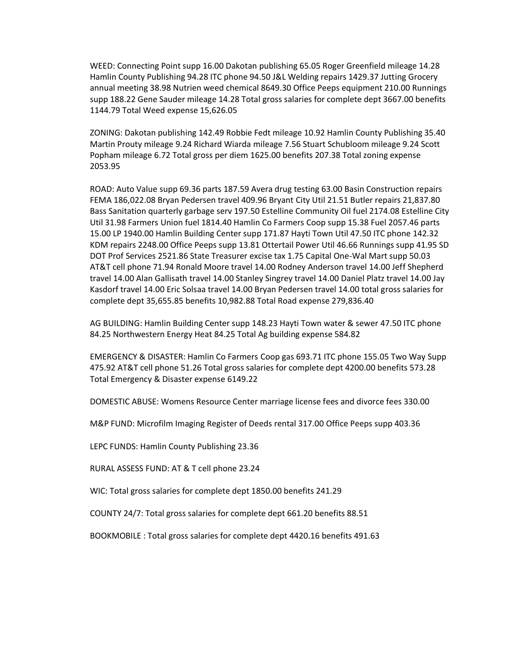WEED: Connecting Point supp 16.00 Dakotan publishing 65.05 Roger Greenfield mileage 14.28 Hamlin County Publishing 94.28 ITC phone 94.50 J&L Welding repairs 1429.37 Jutting Grocery annual meeting 38.98 Nutrien weed chemical 8649.30 Office Peeps equipment 210.00 Runnings supp 188.22 Gene Sauder mileage 14.28 Total gross salaries for complete dept 3667.00 benefits 1144.79 Total Weed expense 15,626.05

ZONING: Dakotan publishing 142.49 Robbie Fedt mileage 10.92 Hamlin County Publishing 35.40 Martin Prouty mileage 9.24 Richard Wiarda mileage 7.56 Stuart Schubloom mileage 9.24 Scott Popham mileage 6.72 Total gross per diem 1625.00 benefits 207.38 Total zoning expense 2053.95

ROAD: Auto Value supp 69.36 parts 187.59 Avera drug testing 63.00 Basin Construction repairs FEMA 186,022.08 Bryan Pedersen travel 409.96 Bryant City Util 21.51 Butler repairs 21,837.80 Bass Sanitation quarterly garbage serv 197.50 Estelline Community Oil fuel 2174.08 Estelline City Util 31.98 Farmers Union fuel 1814.40 Hamlin Co Farmers Coop supp 15.38 Fuel 2057.46 parts 15.00 LP 1940.00 Hamlin Building Center supp 171.87 Hayti Town Util 47.50 ITC phone 142.32 KDM repairs 2248.00 Office Peeps supp 13.81 Ottertail Power Util 46.66 Runnings supp 41.95 SD DOT Prof Services 2521.86 State Treasurer excise tax 1.75 Capital One-Wal Mart supp 50.03 AT&T cell phone 71.94 Ronald Moore travel 14.00 Rodney Anderson travel 14.00 Jeff Shepherd travel 14.00 Alan Gallisath travel 14.00 Stanley Singrey travel 14.00 Daniel Platz travel 14.00 Jay Kasdorf travel 14.00 Eric Solsaa travel 14.00 Bryan Pedersen travel 14.00 total gross salaries for complete dept 35,655.85 benefits 10,982.88 Total Road expense 279,836.40

AG BUILDING: Hamlin Building Center supp 148.23 Hayti Town water & sewer 47.50 ITC phone 84.25 Northwestern Energy Heat 84.25 Total Ag building expense 584.82

EMERGENCY & DISASTER: Hamlin Co Farmers Coop gas 693.71 ITC phone 155.05 Two Way Supp 475.92 AT&T cell phone 51.26 Total gross salaries for complete dept 4200.00 benefits 573.28 Total Emergency & Disaster expense 6149.22

DOMESTIC ABUSE: Womens Resource Center marriage license fees and divorce fees 330.00

M&P FUND: Microfilm Imaging Register of Deeds rental 317.00 Office Peeps supp 403.36

LEPC FUNDS: Hamlin County Publishing 23.36

RURAL ASSESS FUND: AT & T cell phone 23.24

WIC: Total gross salaries for complete dept 1850.00 benefits 241.29

COUNTY 24/7: Total gross salaries for complete dept 661.20 benefits 88.51

BOOKMOBILE : Total gross salaries for complete dept 4420.16 benefits 491.63